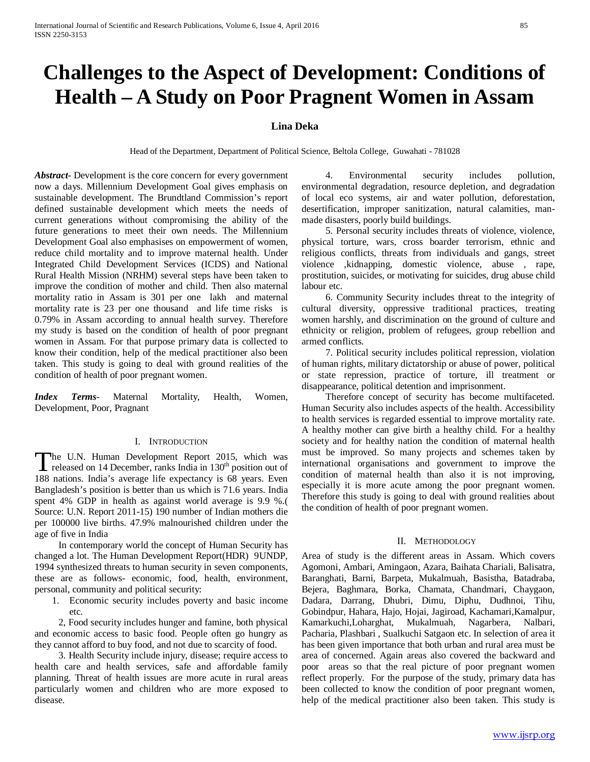# **Challenges to the Aspect of Development: Conditions of Health – A Study on Poor Pragnent Women in Assam**

## **Lina Deka**

Head of the Department, Department of Political Science, Beltola College, Guwahati - 781028

*Abstract***-** Development is the core concern for every government now a days. Millennium Development Goal gives emphasis on sustainable development. The Brundtland Commission's report defined sustainable development which meets the needs of current generations without compromising the ability of the future generations to meet their own needs. The Millennium Development Goal also emphasises on empowerment of women, reduce child mortality and to improve maternal health. Under Integrated Child Development Services (ICDS) and National Rural Health Mission (NRHM) several steps have been taken to improve the condition of mother and child. Then also maternal mortality ratio in Assam is 301 per one lakh and maternal mortality rate is 23 per one thousand and life time risks is 0.79% in Assam according to annual health survey. Therefore my study is based on the condition of health of poor pregnant women in Assam. For that purpose primary data is collected to know their condition, help of the medical practitioner also been taken. This study is going to deal with ground realities of the condition of health of poor pregnant women.

*Index Terms*- Maternal Mortality, Health, Women, Development, Poor, Pragnant

## I. INTRODUCTION

The U.N. Human Development Report 2015, which was The U.N. Human Development Report 2015, which was released on 14 December, ranks India in  $130<sup>th</sup>$  position out of  $130<sup>th</sup>$  C. 188 nations. India's average life expectancy is 68 years. Even Bangladesh's position is better than us which is 71.6 years. India spent 4% GDP in health as against world average is 9.9 %.( Source: U.N. Report 2011-15) 190 number of Indian mothers die per 100000 live births. 47.9% malnourished children under the age of five in India

 In contemporary world the concept of Human Security has changed a lot. The Human Development Report(HDR) 9UNDP, 1994 synthesized threats to human security in seven components, these are as follows- economic, food, health, environment, personal, community and political security:

1. Economic security includes poverty and basic income etc.

 2, Food security includes hunger and famine, both physical and economic access to basic food. People often go hungry as they cannot afford to buy food, and not due to scarcity of food.

 3. Health Security include injury, disease; require access to health care and health services, safe and affordable family planning. Threat of health issues are more acute in rural areas particularly women and children who are more exposed to disease.

 4. Environmental security includes pollution, environmental degradation, resource depletion, and degradation of local eco systems, air and water pollution, deforestation, desertification, improper sanitization, natural calamities, manmade disasters, poorly build buildings.

 5. Personal security includes threats of violence, violence, physical torture, wars, cross boarder terrorism, ethnic and religious conflicts, threats from individuals and gangs, street violence ,kidnapping, domestic violence, abuse , rape, prostitution, suicides, or motivating for suicides, drug abuse child labour etc.

 6. Community Security includes threat to the integrity of cultural diversity, oppressive traditional practices, treating women harshly, and discrimination on the ground of culture and ethnicity or religion, problem of refugees, group rebellion and armed conflicts.

 7. Political security includes political repression, violation of human rights, military dictatorship or abuse of power, political or state repression, practice of torture, ill treatment or disappearance, political detention and imprisonment.

 Therefore concept of security has become multifaceted. Human Security also includes aspects of the health. Accessibility to health services is regarded essential to improve mortality rate. A healthy mother can give birth a healthy child. For a healthy society and for healthy nation the condition of maternal health must be improved. So many projects and schemes taken by international organisations and government to improve the condition of maternal health than also it is not improving, especially it is more acute among the poor pregnant women. Therefore this study is going to deal with ground realities about the condition of health of poor pregnant women.

#### II. METHODOLOGY

Area of study is the different areas in Assam. Which covers Agomoni, Ambari, Amingaon, Azara, Baihata Chariali, Balisatra, Baranghati, Barni, Barpeta, Mukalmuah, Basistha, Batadraba, Bejera, Baghmara, Borka, Chamata, Chandmari, Chaygaon, Dadara, Darrang, Dhubri, Dimu, Diphu, Dudhnoi, Tihu, Gobindpur, Hahara, Hajo, Hojai, Jagiroad, Kachamari,Kamalpur, Kamarkuchi,Loharghat, Mukalmuah, Nagarbera, Nalbari, Pacharia, Plashbari , Sualkuchi Satgaon etc. In selection of area it has been given importance that both urban and rural area must be area of concerned. Again areas also covered the backward and poor areas so that the real picture of poor pregnant women reflect properly. For the purpose of the study, primary data has been collected to know the condition of poor pregnant women, help of the medical practitioner also been taken. This study is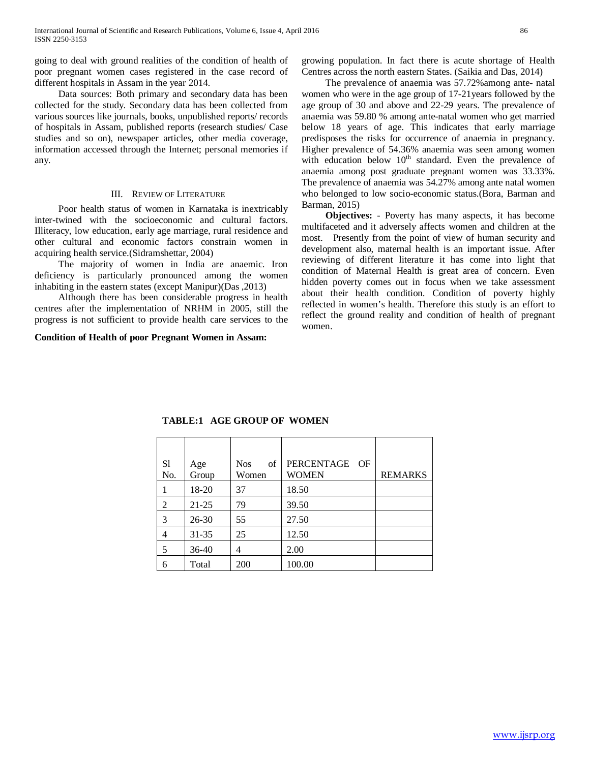going to deal with ground realities of the condition of health of poor pregnant women cases registered in the case record of different hospitals in Assam in the year 2014.

 Data sources: Both primary and secondary data has been collected for the study. Secondary data has been collected from various sources like journals, books, unpublished reports/ records of hospitals in Assam, published reports (research studies/ Case studies and so on), newspaper articles, other media coverage, information accessed through the Internet; personal memories if any.

## III. REVIEW OF LITERATURE

 Poor health status of women in Karnataka is inextricably inter-twined with the socioeconomic and cultural factors. Illiteracy, low education, early age marriage, rural residence and other cultural and economic factors constrain women in acquiring health service.(Sidramshettar, 2004)

 The majority of women in India are anaemic. Iron deficiency is particularly pronounced among the women inhabiting in the eastern states (except Manipur)(Das ,2013)

 Although there has been considerable progress in health centres after the implementation of NRHM in 2005, still the progress is not sufficient to provide health care services to the

**Condition of Health of poor Pregnant Women in Assam:**

growing population. In fact there is acute shortage of Health Centres across the north eastern States. (Saikia and Das, 2014)

 The prevalence of anaemia was 57.72%among ante- natal women who were in the age group of 17-21years followed by the age group of 30 and above and 22-29 years. The prevalence of anaemia was 59.80 % among ante-natal women who get married below 18 years of age. This indicates that early marriage predisposes the risks for occurrence of anaemia in pregnancy. Higher prevalence of 54.36% anaemia was seen among women with education below 10<sup>th</sup> standard. Even the prevalence of anaemia among post graduate pregnant women was 33.33%. The prevalence of anaemia was 54.27% among ante natal women who belonged to low socio-economic status.(Bora, Barman and Barman, 2015)

 **Objectives:** - Poverty has many aspects, it has become multifaceted and it adversely affects women and children at the most. Presently from the point of view of human security and development also, maternal health is an important issue. After reviewing of different literature it has come into light that condition of Maternal Health is great area of concern. Even hidden poverty comes out in focus when we take assessment about their health condition. Condition of poverty highly reflected in women's health. Therefore this study is an effort to reflect the ground reality and condition of health of pregnant women.

| S1<br>No. | Age<br>Group | of<br><b>Nos</b><br>Women | PERCENTAGE OF<br>WOMEN | <b>REMARKS</b> |
|-----------|--------------|---------------------------|------------------------|----------------|
|           | 18-20        | 37                        | 18.50                  |                |
| 2         | $21 - 25$    | 79                        | 39.50                  |                |
| 3         | $26 - 30$    | 55                        | 27.50                  |                |
| 4         | $31 - 35$    | 25                        | 12.50                  |                |
| 5         | $36-40$      | 4                         | 2.00                   |                |
| 6         | Total        | 200                       | 100.00                 |                |

**TABLE:1 AGE GROUP OF WOMEN**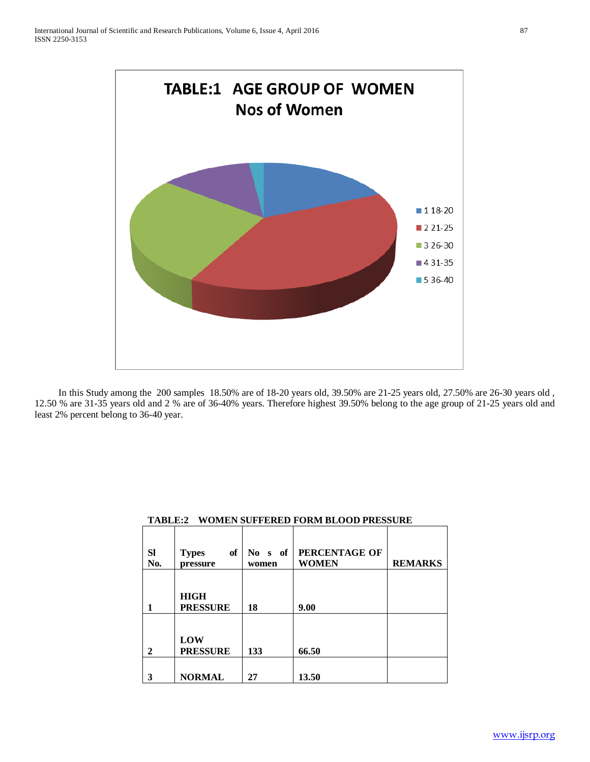

 In this Study among the 200 samples 18.50% are of 18-20 years old, 39.50% are 21-25 years old, 27.50% are 26-30 years old , 12.50 % are 31-35 years old and 2 % are of 36-40% years. Therefore highest 39.50% belong to the age group of 21-25 years old and least 2% percent belong to 36-40 year.

| <b>Sl</b><br>No. | of<br><b>Types</b><br>pressure | s of<br>No -<br>women | PERCENTAGE OF<br><b>WOMEN</b> | <b>REMARKS</b> |
|------------------|--------------------------------|-----------------------|-------------------------------|----------------|
|                  | <b>HIGH</b><br><b>PRESSURE</b> | 18                    | 9.00                          |                |
| 2                | LOW<br><b>PRESSURE</b>         | 133                   | 66.50                         |                |
| 3                | <b>NORMAL</b>                  | 27                    | 13.50                         |                |

# **TABLE:2 WOMEN SUFFERED FORM BLOOD PRESSURE**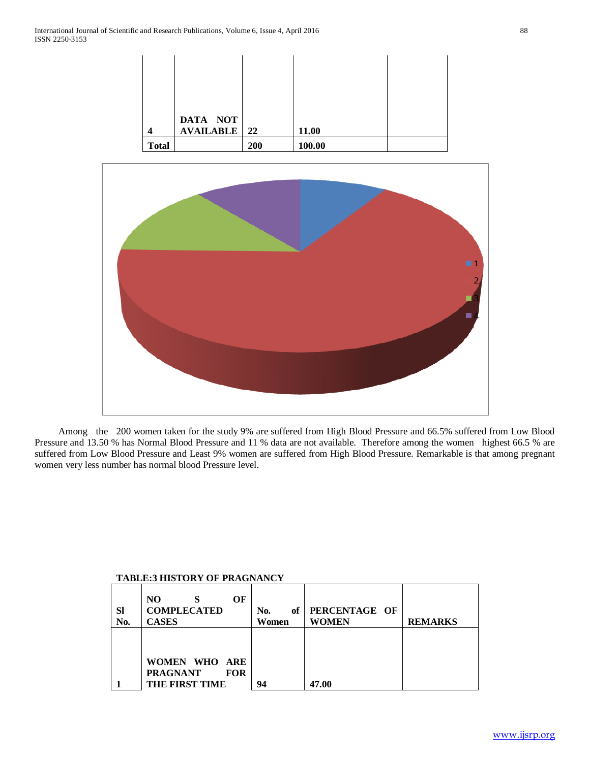|              | DATA NOT              |     |        |  |
|--------------|-----------------------|-----|--------|--|
| 4            | <b>AVAILABLE</b>   22 |     | 11.00  |  |
| <b>Total</b> |                       | 200 | 100.00 |  |



 Among the 200 women taken for the study 9% are suffered from High Blood Pressure and 66.5% suffered from Low Blood Pressure and 13.50 % has Normal Blood Pressure and 11 % data are not available. Therefore among the women highest 66.5 % are suffered from Low Blood Pressure and Least 9% women are suffered from High Blood Pressure. Remarkable is that among pregnant women very less number has normal blood Pressure level.

# **TABLE:3 HISTORY OF PRAGNANCY**

| <b>SI</b><br>No. | N <sub>O</sub><br>OF<br><b>COMPLECATED</b><br><b>CASES</b> | of<br>No.<br>Women | PERCENTAGE OF<br><b>WOMEN</b> | <b>REMARKS</b> |
|------------------|------------------------------------------------------------|--------------------|-------------------------------|----------------|
|                  | WOMEN WHO ARE<br><b>PRAGNANT</b><br><b>FOR</b>             |                    |                               |                |
|                  | THE FIRST TIME                                             | 94                 | 47.00                         |                |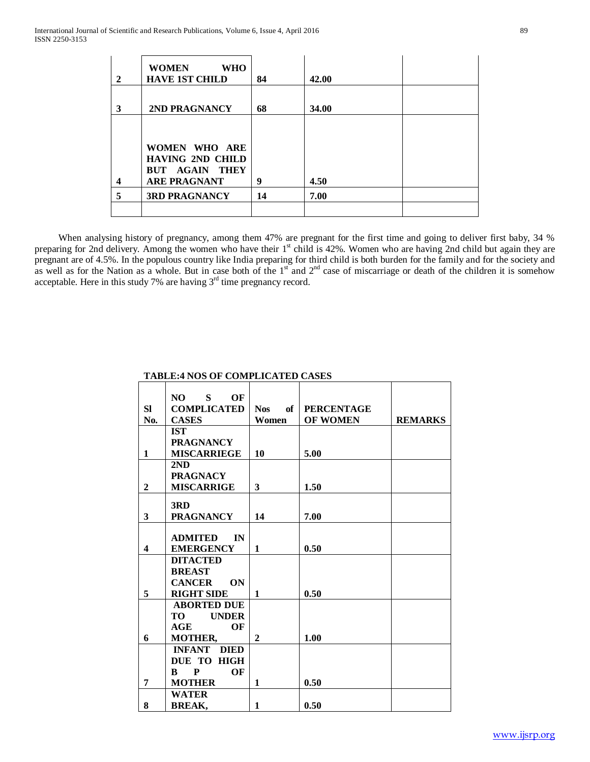| 2 | <b>WOMEN</b><br><b>WHO</b><br><b>HAVE 1ST CHILD</b> | 84 | 42.00 |  |
|---|-----------------------------------------------------|----|-------|--|
| 3 | 2ND PRAGNANCY                                       | 68 | 34.00 |  |
|   |                                                     |    |       |  |
|   | WOMEN WHO ARE<br><b>HAVING 2ND CHILD</b>            |    |       |  |
|   | <b>BUT AGAIN THEY</b>                               |    |       |  |
| 4 | <b>ARE PRAGNANT</b>                                 | 9  | 4.50  |  |
| 5 | <b>3RD PRAGNANCY</b>                                | 14 | 7.00  |  |
|   |                                                     |    |       |  |

 When analysing history of pregnancy, among them 47% are pregnant for the first time and going to deliver first baby, 34 % preparing for 2nd delivery. Among the women who have their 1<sup>st</sup> child is 42%. Women who are having 2nd child but again they are pregnant are of 4.5%. In the populous country like India preparing for third child is both burden for the family and for the society and as well as for the Nation as a whole. But in case both of the  $1<sup>st</sup>$  and  $2<sup>nd</sup>$  case of miscarriage or death of the children it is somehow acceptable. Here in this study 7% are having  $3<sup>rd</sup>$  time pregnancy record.

|                         | $\mathbf{S}$<br>OF<br>NO. |                  |                   |                |
|-------------------------|---------------------------|------------------|-------------------|----------------|
| <b>SI</b>               | <b>COMPLICATED</b>        | of<br><b>Nos</b> | <b>PERCENTAGE</b> |                |
| No.                     | <b>CASES</b>              | Women            | <b>OF WOMEN</b>   | <b>REMARKS</b> |
|                         | <b>IST</b>                |                  |                   |                |
|                         | <b>PRAGNANCY</b>          |                  |                   |                |
| $\mathbf{1}$            | <b>MISCARRIEGE</b>        | 10               | 5.00              |                |
|                         | 2ND                       |                  |                   |                |
|                         | <b>PRAGNACY</b>           |                  |                   |                |
| $\mathbf{2}$            | <b>MISCARRIGE</b>         | 3                | 1.50              |                |
|                         |                           |                  |                   |                |
|                         | 3RD                       |                  |                   |                |
| 3                       | <b>PRAGNANCY</b>          | 14               | 7.00              |                |
|                         |                           |                  |                   |                |
|                         | <b>ADMITED</b><br>IN      |                  |                   |                |
| $\overline{\mathbf{4}}$ | <b>EMERGENCY</b>          | $\mathbf{1}$     | 0.50              |                |
|                         | <b>DITACTED</b>           |                  |                   |                |
|                         | <b>BREAST</b>             |                  |                   |                |
|                         | <b>CANCER</b><br>ON       |                  |                   |                |
| 5                       | <b>RIGHT SIDE</b>         | $\mathbf{1}$     | 0.50              |                |
|                         | <b>ABORTED DUE</b>        |                  |                   |                |
|                         | TО<br><b>UNDER</b>        |                  |                   |                |
|                         | OF<br>AGE                 |                  |                   |                |
| 6                       | <b>MOTHER,</b>            | $\mathbf{2}$     | 1.00              |                |
|                         | <b>INFANT DIED</b>        |                  |                   |                |
|                         | DUE TO HIGH               |                  |                   |                |
|                         | P<br>OF<br>$\bf{B}$       |                  |                   |                |
| 7                       | <b>MOTHER</b>             | 1                | 0.50              |                |
|                         | <b>WATER</b>              |                  |                   |                |
| 8                       | <b>BREAK,</b>             | $\mathbf{1}$     | 0.50              |                |

## **TABLE:4 NOS OF COMPLICATED CASES**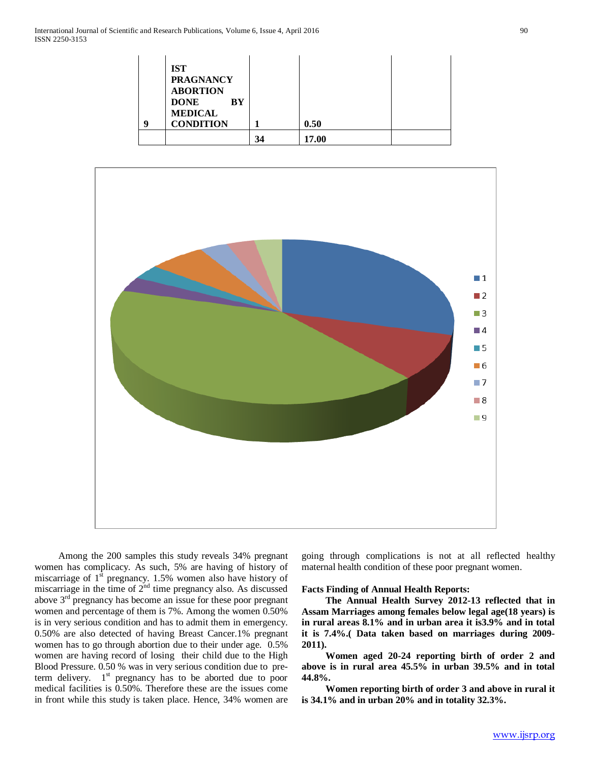| q | <b>IST</b><br><b>PRAGNANCY</b><br><b>ABORTION</b><br><b>DONE</b><br>BY<br><b>MEDICAL</b><br><b>CONDITION</b> |    | 0.50  |  |
|---|--------------------------------------------------------------------------------------------------------------|----|-------|--|
|   |                                                                                                              | 34 | 17.00 |  |



 Among the 200 samples this study reveals 34% pregnant women has complicacy. As such, 5% are having of history of miscarriage of  $1<sup>st</sup>$  pregnancy. 1.5% women also have history of miscarriage in the time of  $2<sup>nd</sup>$  time pregnancy also. As discussed above  $3<sup>rd</sup>$  pregnancy has become an issue for these poor pregnant women and percentage of them is 7%. Among the women 0.50% is in very serious condition and has to admit them in emergency. 0.50% are also detected of having Breast Cancer.1% pregnant women has to go through abortion due to their under age. 0.5% women are having record of losing their child due to the High Blood Pressure. 0.50 % was in very serious condition due to preterm delivery.  $1<sup>st</sup>$  pregnancy has to be aborted due to poor medical facilities is 0.50%. Therefore these are the issues come in front while this study is taken place. Hence, 34% women are going through complications is not at all reflected healthy maternal health condition of these poor pregnant women.

#### **Facts Finding of Annual Health Reports:**

 **The Annual Health Survey 2012-13 reflected that in Assam Marriages among females below legal age(18 years) is in rural areas 8.1% and in urban area it is3.9% and in total it is 7.4%.( Data taken based on marriages during 2009- 2011).**

 **Women aged 20-24 reporting birth of order 2 and above is in rural area 45.5% in urban 39.5% and in total 44.8%.**

 **Women reporting birth of order 3 and above in rural it is 34.1% and in urban 20% and in totality 32.3%.**